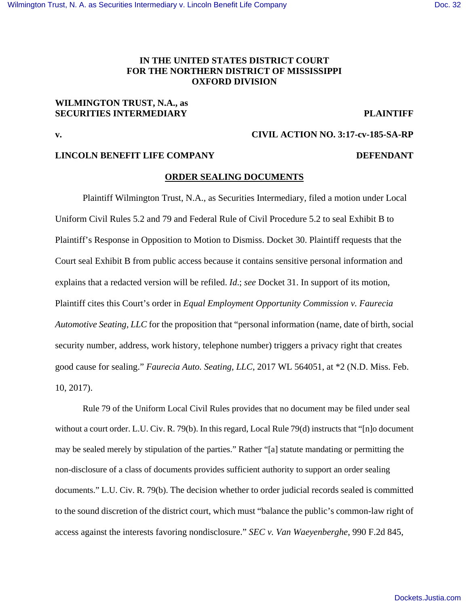# **IN THE UNITED STATES DISTRICT COURT FOR THE NORTHERN DISTRICT OF MISSISSIPPI OXFORD DIVISION**

## **WILMINGTON TRUST, N.A., as SECURITIES INTERMEDIARY PLAINTIFF**

**v. CIVIL ACTION NO. 3:17-cv-185-SA-RP** 

## **LINCOLN BENEFIT LIFE COMPANY DEFENDANT**

#### **ORDER SEALING DOCUMENTS**

Plaintiff Wilmington Trust, N.A., as Securities Intermediary, filed a motion under Local Uniform Civil Rules 5.2 and 79 and Federal Rule of Civil Procedure 5.2 to seal Exhibit B to Plaintiff's Response in Opposition to Motion to Dismiss. Docket 30. Plaintiff requests that the Court seal Exhibit B from public access because it contains sensitive personal information and explains that a redacted version will be refiled. *Id*.; *see* Docket 31. In support of its motion, Plaintiff cites this Court's order in *Equal Employment Opportunity Commission v. Faurecia Automotive Seating, LLC* for the proposition that "personal information (name, date of birth, social security number, address, work history, telephone number) triggers a privacy right that creates good cause for sealing." *Faurecia Auto. Seating, LLC*, 2017 WL 564051, at \*2 (N.D. Miss. Feb. 10, 2017).

Rule 79 of the Uniform Local Civil Rules provides that no document may be filed under seal without a court order. L.U. Civ. R. 79(b). In this regard, Local Rule 79(d) instructs that "[n]o document may be sealed merely by stipulation of the parties." Rather "[a] statute mandating or permitting the non-disclosure of a class of documents provides sufficient authority to support an order sealing documents." L.U. Civ. R. 79(b). The decision whether to order judicial records sealed is committed to the sound discretion of the district court, which must "balance the public's common-law right of access against the interests favoring nondisclosure." *SEC v. Van Waeyenberghe*, 990 F.2d 845,